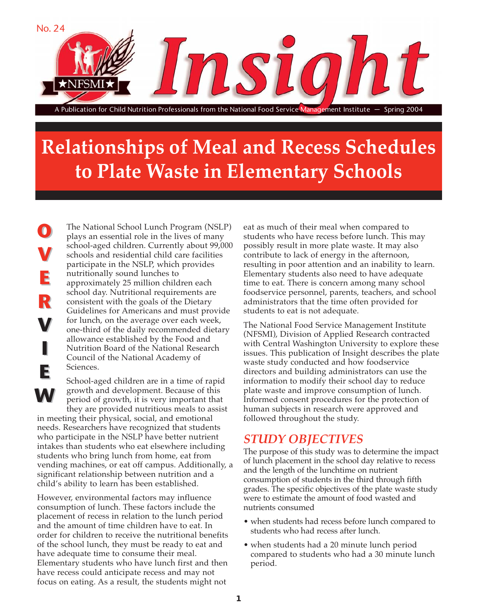

# **Relationships of Meal and Recess Schedules to Plate Waste in Elementary Schools**

The National School Lunch Program (NSLP) plays an essential role in the lives of many school-aged children. Currently about 99,000 schools and residential child care facilities participate in the NSLP, which provides nutritionally sound lunches to approximately 25 million children each school day. Nutritional requirements are consistent with the goals of the Dietary Guidelines for Americans and must provide for lunch, on the average over each week, one-third of the daily recommended dietary allowance established by the Food and Nutrition Board of the National Research Council of the National Academy of Sciences.

**O**

**O**

**V**

**V**

**E E**

**R**

**R**

**V**

**V**

**I**

**I**

**E E**

**W W**

School-aged children are in a time of rapid growth and development. Because of this period of growth, it is very important that they are provided nutritious meals to assist

in meeting their physical, social, and emotional needs. Researchers have recognized that students who participate in the NSLP have better nutrient intakes than students who eat elsewhere including students who bring lunch from home, eat from vending machines, or eat off campus. Additionally, a significant relationship between nutrition and a child's ability to learn has been established.

However, environmental factors may influence consumption of lunch. These factors include the placement of recess in relation to the lunch period and the amount of time children have to eat. In order for children to receive the nutritional benefits of the school lunch, they must be ready to eat and have adequate time to consume their meal. Elementary students who have lunch first and then have recess could anticipate recess and may not focus on eating. As a result, the students might not

eat as much of their meal when compared to students who have recess before lunch. This may possibly result in more plate waste. It may also contribute to lack of energy in the afternoon, resulting in poor attention and an inability to learn. Elementary students also need to have adequate time to eat. There is concern among many school foodservice personnel, parents, teachers, and school administrators that the time often provided for students to eat is not adequate.

The National Food Service Management Institute (NFSMI), Division of Applied Research contracted with Central Washington University to explore these issues. This publication of Insight describes the plate waste study conducted and how foodservice directors and building administrators can use the information to modify their school day to reduce plate waste and improve consumption of lunch. Informed consent procedures for the protection of human subjects in research were approved and followed throughout the study.

### *STUDY OBJECTIVES*

The purpose of this study was to determine the impact of lunch placement in the school day relative to recess and the length of the lunchtime on nutrient consumption of students in the third through fifth grades. The specific objectives of the plate waste study were to estimate the amount of food wasted and nutrients consumed

- when students had recess before lunch compared to students who had recess after lunch.
- when students had a 20 minute lunch period compared to students who had a 30 minute lunch period.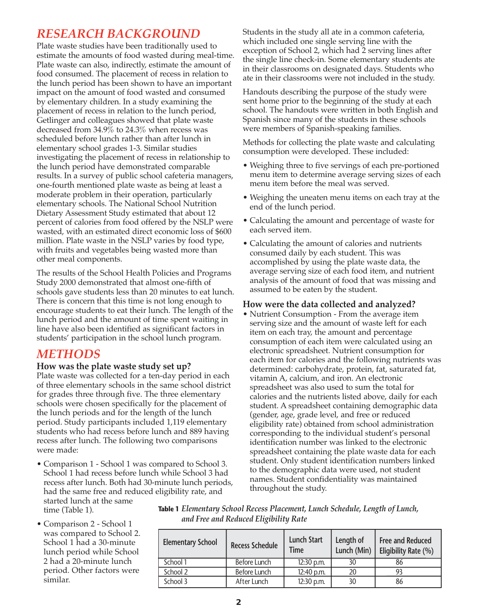### *RESEARCH BACKGROUND*

Plate waste studies have been traditionally used to estimate the amounts of food wasted during meal-time. Plate waste can also, indirectly, estimate the amount of food consumed. The placement of recess in relation to the lunch period has been shown to have an important impact on the amount of food wasted and consumed by elementary children. In a study examining the placement of recess in relation to the lunch period, Getlinger and colleagues showed that plate waste decreased from 34.9% to 24.3% when recess was scheduled before lunch rather than after lunch in elementary school grades 1-3. Similar studies investigating the placement of recess in relationship to the lunch period have demonstrated comparable results. In a survey of public school cafeteria managers, one-fourth mentioned plate waste as being at least a moderate problem in their operation, particularly elementary schools. The National School Nutrition Dietary Assessment Study estimated that about 12 percent of calories from food offered by the NSLP were wasted, with an estimated direct economic loss of \$600 million. Plate waste in the NSLP varies by food type, with fruits and vegetables being wasted more than other meal components.

The results of the School Health Policies and Programs Study 2000 demonstrated that almost one-fifth of schools gave students less than 20 minutes to eat lunch. There is concern that this time is not long enough to encourage students to eat their lunch. The length of the lunch period and the amount of time spent waiting in line have also been identified as significant factors in students' participation in the school lunch program.

### *METHODS*

### **How was the plate waste study set up?**

Plate waste was collected for a ten-day period in each of three elementary schools in the same school district for grades three through five. The three elementary schools were chosen specifically for the placement of the lunch periods and for the length of the lunch period. Study participants included 1,119 elementary students who had recess before lunch and 889 having recess after lunch. The following two comparisons were made:

• Comparison 1 - School 1 was compared to School 3. School 1 had recess before lunch while School 3 had recess after lunch. Both had 30-minute lunch periods, had the same free and reduced eligibility rate, and started lunch at the same time (Table 1).

Students in the study all ate in a common cafeteria, which included one single serving line with the exception of School 2, which had 2 serving lines after the single line check-in. Some elementary students ate in their classrooms on designated days. Students who ate in their classrooms were not included in the study.

Handouts describing the purpose of the study were sent home prior to the beginning of the study at each school. The handouts were written in both English and Spanish since many of the students in these schools were members of Spanish-speaking families.

Methods for collecting the plate waste and calculating consumption were developed. These included:

- Weighing three to five servings of each pre-portioned menu item to determine average serving sizes of each menu item before the meal was served.
- Weighing the uneaten menu items on each tray at the end of the lunch period.
- Calculating the amount and percentage of waste for each served item.
- Calculating the amount of calories and nutrients consumed daily by each student. This was accomplished by using the plate waste data, the average serving size of each food item, and nutrient analysis of the amount of food that was missing and assumed to be eaten by the student.

### **How were the data collected and analyzed?**

• Nutrient Consumption - From the average item serving size and the amount of waste left for each item on each tray, the amount and percentage consumption of each item were calculated using an electronic spreadsheet. Nutrient consumption for each item for calories and the following nutrients was determined: carbohydrate, protein, fat, saturated fat, vitamin A, calcium, and iron. An electronic spreadsheet was also used to sum the total for calories and the nutrients listed above, daily for each student. A spreadsheet containing demographic data (gender, age, grade level, and free or reduced eligibility rate) obtained from school administration corresponding to the individual student's personal identification number was linked to the electronic spreadsheet containing the plate waste data for each student. Only student identification numbers linked to the demographic data were used, not student names. Student confidentiality was maintained throughout the study.

• Comparison 2 - School 1 was compared to School 2. School 1 had a 30-minute lunch period while School 2 had a 20-minute lunch period. Other factors were similar.

**Table 1** *Elementary School Recess Placement, Lunch Schedule, Length of Lunch, and Free and Reduced Eligibility Rate*

| <b>Elementary School</b> | <b>Recess Schedule</b> | <b>Lunch Start</b><br>Time | Length of<br>Lunch (Min) | <b>Free and Reduced</b><br>Eligibility Rate (%) |
|--------------------------|------------------------|----------------------------|--------------------------|-------------------------------------------------|
| School 1                 | Before Lunch           | 12:30 p.m.                 | 30                       | 86                                              |
| School 2                 | Before Lunch           | 12:40 p.m.                 | 20                       |                                                 |
| School 3                 | After Lunch            | 12:30 p.m.                 | 30                       | 86                                              |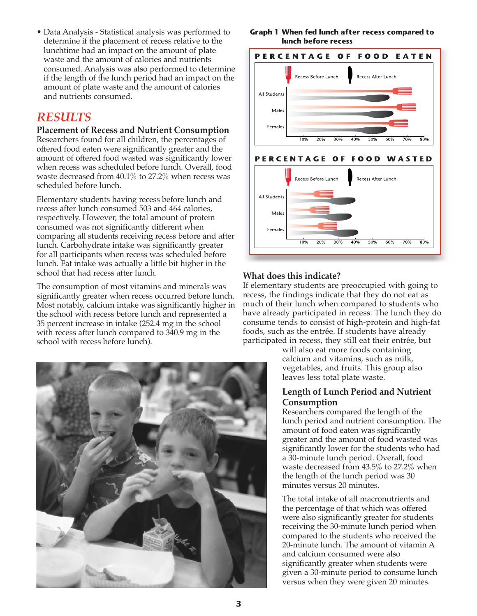• Data Analysis - Statistical analysis was performed to determine if the placement of recess relative to the lunchtime had an impact on the amount of plate waste and the amount of calories and nutrients consumed. Analysis was also performed to determine if the length of the lunch period had an impact on the amount of plate waste and the amount of calories and nutrients consumed.

### *RESULTS*

#### **Placement of Recess and Nutrient Consumption**

Researchers found for all children, the percentages of offered food eaten were significantly greater and the amount of offered food wasted was significantly lower when recess was scheduled before lunch. Overall, food waste decreased from 40.1% to 27.2% when recess was scheduled before lunch.

Elementary students having recess before lunch and recess after lunch consumed 503 and 464 calories, respectively. However, the total amount of protein consumed was not significantly different when comparing all students receiving recess before and after lunch. Carbohydrate intake was significantly greater for all participants when recess was scheduled before lunch. Fat intake was actually a little bit higher in the school that had recess after lunch.

The consumption of most vitamins and minerals was significantly greater when recess occurred before lunch. Most notably, calcium intake was significantly higher in the school with recess before lunch and represented a 35 percent increase in intake (252.4 mg in the school with recess after lunch compared to 340.9 mg in the school with recess before lunch).



#### **Graph 1 When fed lunch after recess compared to lunch before recess**



### **What does this indicate?**

If elementary students are preoccupied with going to recess, the findings indicate that they do not eat as much of their lunch when compared to students who have already participated in recess. The lunch they do consume tends to consist of high-protein and high-fat foods, such as the entrée. If students have already participated in recess, they still eat their entrée, but

> will also eat more foods containing calcium and vitamins, such as milk, vegetables, and fruits. This group also leaves less total plate waste.

### **Length of Lunch Period and Nutrient Consumption**

Researchers compared the length of the lunch period and nutrient consumption. The amount of food eaten was significantly greater and the amount of food wasted was significantly lower for the students who had a 30-minute lunch period. Overall, food waste decreased from 43.5% to 27.2% when the length of the lunch period was 30 minutes versus 20 minutes.

The total intake of all macronutrients and the percentage of that which was offered were also significantly greater for students receiving the 30-minute lunch period when compared to the students who received the 20-minute lunch. The amount of vitamin A and calcium consumed were also significantly greater when students were given a 30-minute period to consume lunch versus when they were given 20 minutes.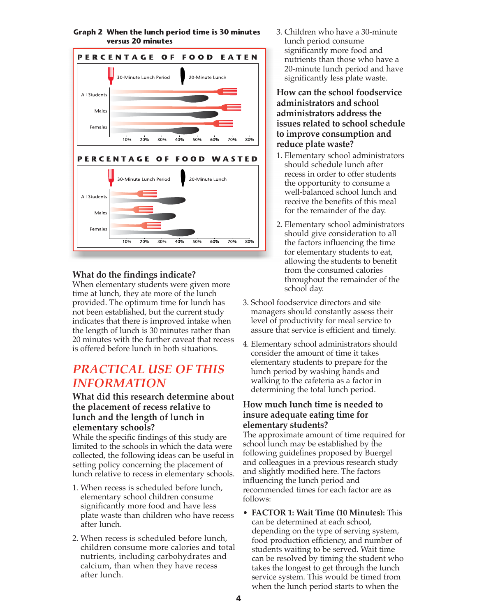

#### **Graph 2 When the lunch period time is 30 minutes versus 20 minutes**

### **What do the findings indicate?**

When elementary students were given more time at lunch, they ate more of the lunch provided. The optimum time for lunch has not been established, but the current study indicates that there is improved intake when the length of lunch is 30 minutes rather than 20 minutes with the further caveat that recess is offered before lunch in both situations.

### *PRACTICAL USE OF THIS INFORMATION*

### **What did this research determine about the placement of recess relative to lunch and the length of lunch in elementary schools?**

While the specific findings of this study are limited to the schools in which the data were collected, the following ideas can be useful in setting policy concerning the placement of lunch relative to recess in elementary schools.

- 1. When recess is scheduled before lunch, elementary school children consume significantly more food and have less plate waste than children who have recess after lunch.
- 2. When recess is scheduled before lunch, children consume more calories and total nutrients, including carbohydrates and calcium, than when they have recess after lunch.

3. Children who have a 30-minute lunch period consume significantly more food and nutrients than those who have a 20-minute lunch period and have significantly less plate waste.

**How can the school foodservice administrators and school administrators address the issues related to school schedule to improve consumption and reduce plate waste?**

- 1. Elementary school administrators should schedule lunch after recess in order to offer students the opportunity to consume a well-balanced school lunch and receive the benefits of this meal for the remainder of the day.
- 2. Elementary school administrators should give consideration to all the factors influencing the time for elementary students to eat, allowing the students to benefit from the consumed calories throughout the remainder of the school day.
- 3. School foodservice directors and site managers should constantly assess their level of productivity for meal service to assure that service is efficient and timely.
- 4. Elementary school administrators should consider the amount of time it takes elementary students to prepare for the lunch period by washing hands and walking to the cafeteria as a factor in determining the total lunch period.

#### **How much lunch time is needed to insure adequate eating time for elementary students?**

The approximate amount of time required for school lunch may be established by the following guidelines proposed by Buergel and colleagues in a previous research study and slightly modified here. The factors influencing the lunch period and recommended times for each factor are as follows:

• **FACTOR 1: Wait Time (10 Minutes):** This can be determined at each school, depending on the type of serving system, food production efficiency, and number of students waiting to be served. Wait time can be resolved by timing the student who takes the longest to get through the lunch service system. This would be timed from when the lunch period starts to when the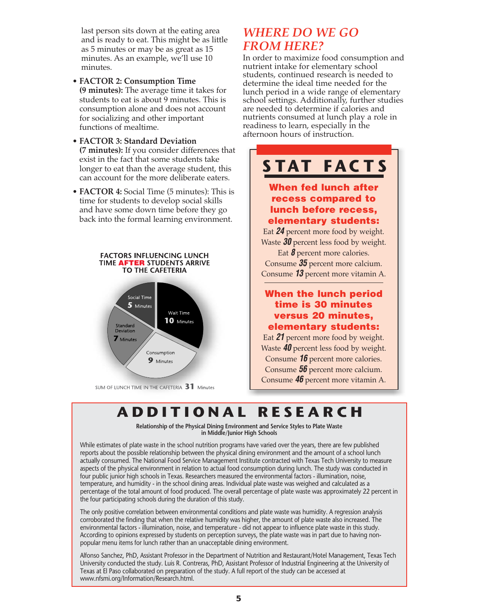last person sits down at the eating area and is ready to eat. This might be as little as 5 minutes or may be as great as 15 minutes. As an example, we'll use 10 minutes.

- **FACTOR 2: Consumption Time (9 minutes):** The average time it takes for students to eat is about 9 minutes. This is consumption alone and does not account for socializing and other important functions of mealtime.
- **FACTOR 3: Standard Deviation (7 minutes):** If you consider differences that exist in the fact that some students take longer to eat than the average student, this can account for the more deliberate eaters.
- **FACTOR 4:** Social Time (5 minutes): This is time for students to develop social skills and have some down time before they go back into the formal learning environment.





SUM OF LUNCH TIME IN THE CAFETERIA 31 Minutes

### *WHERE DO WE GO FROM HERE?*

In order to maximize food consumption and nutrient intake for elementary school students, continued research is needed to determine the ideal time needed for the lunch period in a wide range of elementary school settings. Additionally, further studies are needed to determine if calories and nutrients consumed at lunch play a role in readiness to learn, especially in the afternoon hours of instruction.

## **STAT FACTS**

### **When fed lunch after recess compared to lunch before recess, elementary students:**

Eat *24* percent more food by weight. Waste *30* percent less food by weight.

Eat **8** percent more calories. Consume *35* percent more calcium. Consume *13* percent more vitamin A.

### **When the lunch period time is 30 minutes versus 20 minutes, elementary students:**

Eat *21* percent more food by weight. Waste *40* percent less food by weight. Consume *16* percent more calories. Consume *56* percent more calcium. Consume *46* percent more vitamin A.

## **ADDITIONAL RESEARCH**

**Relationship of the Physical Dining Environment and Service Styles to Plate Waste in Middle/Junior High Schools**

While estimates of plate waste in the school nutrition programs have varied over the years, there are few published reports about the possible relationship between the physical dining environment and the amount of a school lunch actually consumed. The National Food Service Management Institute contracted with Texas Tech University to measure aspects of the physical environment in relation to actual food consumption during lunch. The study was conducted in four public junior high schools in Texas. Researchers measured the environmental factors - illumination, noise, temperature, and humidity - in the school dining areas. Individual plate waste was weighed and calculated as a percentage of the total amount of food produced. The overall percentage of plate waste was approximately 22 percent in the four participating schools during the duration of this study.

The only positive correlation between environmental conditions and plate waste was humidity. A regression analysis corroborated the finding that when the relative humidity was higher, the amount of plate waste also increased. The environmental factors - illumination, noise, and temperature - did not appear to influence plate waste in this study. According to opinions expressed by students on perception surveys, the plate waste was in part due to having nonpopular menu items for lunch rather than an unacceptable dining environment.

Alfonso Sanchez, PhD, Assistant Professor in the Department of Nutrition and Restaurant/Hotel Management, Texas Tech University conducted the study. Luis R. Contreras, PhD, Assistant Professor of Industrial Engineering at the University of Texas at El Paso collaborated on preparation of the study. A full report of the study can be accessed at www.nfsmi.org/Information/Research.html.